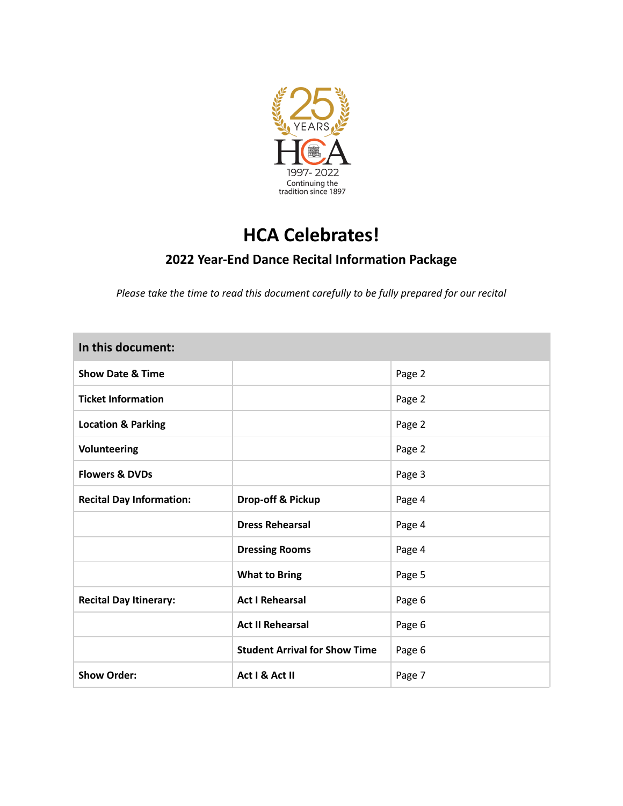

# **HCA Celebrates!**

## **2022 Year-End Dance Recital Information Package**

*Please take the time to read this document carefully to be fully prepared for our recital*

| In this document:               |                                      |        |
|---------------------------------|--------------------------------------|--------|
| <b>Show Date &amp; Time</b>     |                                      | Page 2 |
| <b>Ticket Information</b>       |                                      | Page 2 |
| <b>Location &amp; Parking</b>   |                                      | Page 2 |
| Volunteering                    |                                      | Page 2 |
| <b>Flowers &amp; DVDs</b>       |                                      | Page 3 |
| <b>Recital Day Information:</b> | Drop-off & Pickup                    | Page 4 |
|                                 | <b>Dress Rehearsal</b>               | Page 4 |
|                                 | <b>Dressing Rooms</b>                | Page 4 |
|                                 | <b>What to Bring</b>                 | Page 5 |
| <b>Recital Day Itinerary:</b>   | <b>Act I Rehearsal</b>               | Page 6 |
|                                 | <b>Act II Rehearsal</b>              | Page 6 |
|                                 | <b>Student Arrival for Show Time</b> | Page 6 |
| <b>Show Order:</b>              | Act I & Act II                       | Page 7 |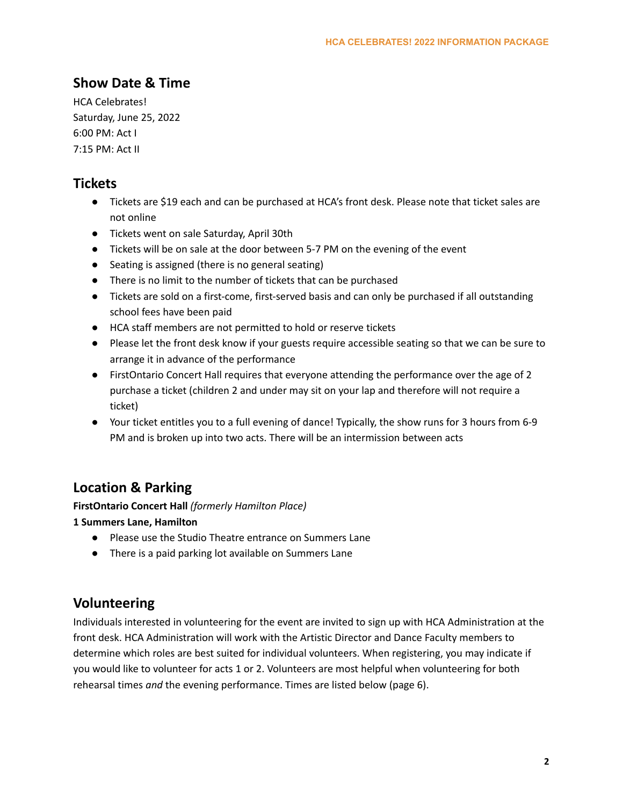## **Show Date & Time**

HCA Celebrates! Saturday, June 25, 2022 6:00 PM: Act I 7:15 PM: Act II

## **Tickets**

- Tickets are \$19 each and can be purchased at HCA's front desk. Please note that ticket sales are not online
- Tickets went on sale Saturday, April 30th
- Tickets will be on sale at the door between 5-7 PM on the evening of the event
- Seating is assigned (there is no general seating)
- There is no limit to the number of tickets that can be purchased
- Tickets are sold on a first-come, first-served basis and can only be purchased if all outstanding school fees have been paid
- HCA staff members are not permitted to hold or reserve tickets
- Please let the front desk know if your guests require accessible seating so that we can be sure to arrange it in advance of the performance
- FirstOntario Concert Hall requires that everyone attending the performance over the age of 2 purchase a ticket (children 2 and under may sit on your lap and therefore will not require a ticket)
- Your ticket entitles you to a full evening of dance! Typically, the show runs for 3 hours from 6-9 PM and is broken up into two acts. There will be an intermission between acts

## **Location & Parking**

**FirstOntario Concert Hall** *(formerly Hamilton Place)*

#### **1 Summers Lane, Hamilton**

- Please use the Studio Theatre entrance on Summers Lane
- There is a paid parking lot available on Summers Lane

#### **Volunteering**

Individuals interested in volunteering for the event are invited to sign up with HCA Administration at the front desk. HCA Administration will work with the Artistic Director and Dance Faculty members to determine which roles are best suited for individual volunteers. When registering, you may indicate if you would like to volunteer for acts 1 or 2. Volunteers are most helpful when volunteering for both rehearsal times *and* the evening performance. Times are listed below (page 6).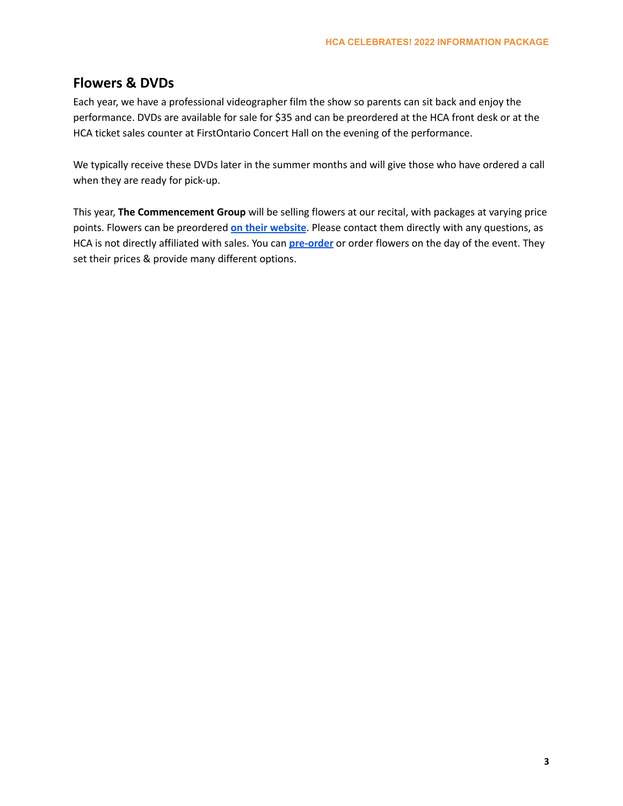## **Flowers & DVDs**

Each year, we have a professional videographer film the show so parents can sit back and enjoy the performance. DVDs are available for sale for \$35 and can be preordered at the HCA front desk or at the HCA ticket sales counter at FirstOntario Concert Hall on the evening of the performance.

We typically receive these DVDs later in the summer months and will give those who have ordered a call when they are ready for pick-up.

This year, **The Commencement Group** will be selling flowers at our recital, with packages at varying price points. Flowers can be preordered **on their [website](https://www.thecommencementgroup.com/hamiltonconservatory/)**. Please contact them directly with any questions, as HCA is not directly affiliated with sales. You can **[pre-order](https://www.thecommencementgroup.com/hamiltonconservatory/)** or order flowers on the day of the event. They set their prices & provide many different options.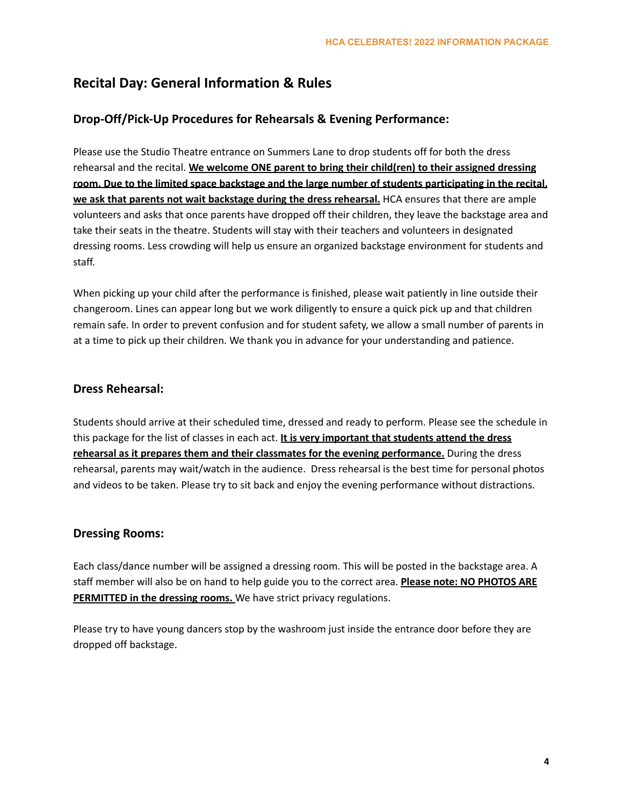## **Recital Day: General Information & Rules**

#### **Drop-Off/Pick-Up Procedures for Rehearsals & Evening Performance:**

Please use the Studio Theatre entrance on Summers Lane to drop students off for both the dress rehearsal and the recital. **We welcome ONE parent to bring their child(ren) to their assigned dressing room. Due to the limited space backstage and the large number of students participating in the recital, we ask that parents not wait backstage during the dress rehearsal.** HCA ensures that there are ample volunteers and asks that once parents have dropped off their children, they leave the backstage area and take their seats in the theatre. Students will stay with their teachers and volunteers in designated dressing rooms. Less crowding will help us ensure an organized backstage environment for students and staff.

When picking up your child after the performance is finished, please wait patiently in line outside their changeroom. Lines can appear long but we work diligently to ensure a quick pick up and that children remain safe. In order to prevent confusion and for student safety, we allow a small number of parents in at a time to pick up their children. We thank you in advance for your understanding and patience.

#### **Dress Rehearsal:**

Students should arrive at their scheduled time, dressed and ready to perform. Please see the schedule in this package for the list of classes in each act. **It is very important that students attend the dress rehearsal as it prepares them and their classmates for the evening performance.** During the dress rehearsal, parents may wait/watch in the audience. Dress rehearsal is the best time for personal photos and videos to be taken. Please try to sit back and enjoy the evening performance without distractions.

#### **Dressing Rooms:**

Each class/dance number will be assigned a dressing room. This will be posted in the backstage area. A staff member will also be on hand to help guide you to the correct area. **Please note: NO PHOTOS ARE PERMITTED in the dressing rooms.** We have strict privacy regulations.

Please try to have young dancers stop by the washroom just inside the entrance door before they are dropped off backstage.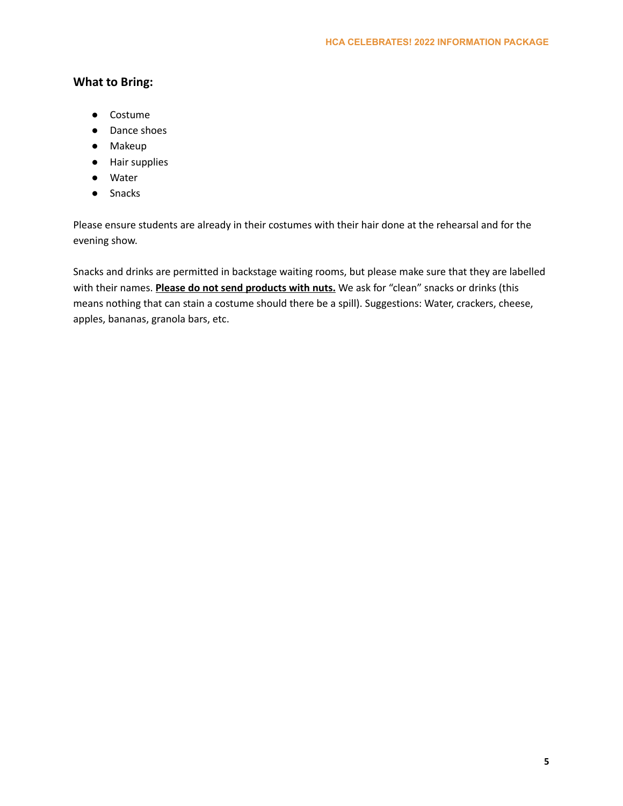#### **What to Bring:**

- Costume
- Dance shoes
- Makeup
- Hair supplies
- Water
- Snacks

Please ensure students are already in their costumes with their hair done at the rehearsal and for the evening show.

Snacks and drinks are permitted in backstage waiting rooms, but please make sure that they are labelled with their names. **Please do not send products with nuts.** We ask for "clean" snacks or drinks (this means nothing that can stain a costume should there be a spill). Suggestions: Water, crackers, cheese, apples, bananas, granola bars, etc.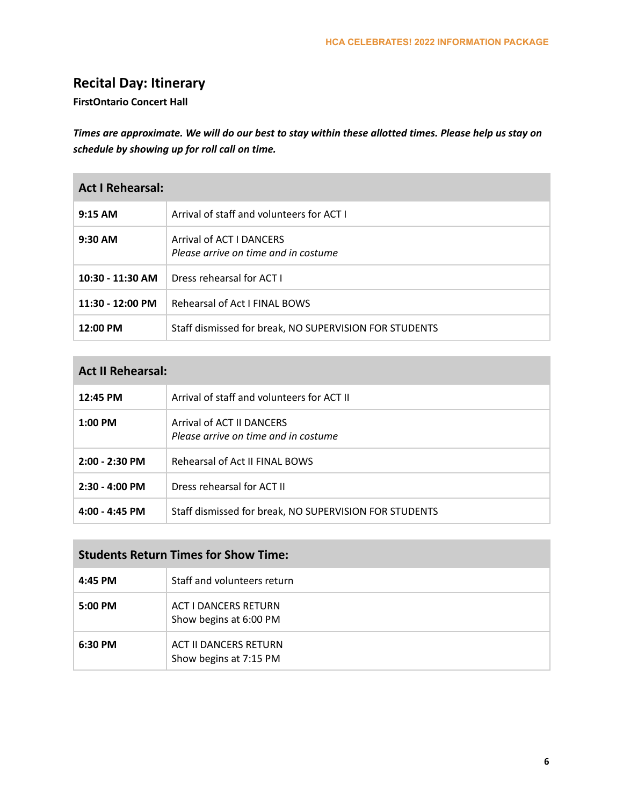## **Recital Day: Itinerary**

#### **FirstOntario Concert Hall**

Times are approximate. We will do our best to stay within these allotted times. Please help us stay on *schedule by showing up for roll call on time.*

| <b>Act I Rehearsal:</b> |                                                                  |  |
|-------------------------|------------------------------------------------------------------|--|
| $9:15$ AM               | Arrival of staff and volunteers for ACT I                        |  |
| $9:30$ AM               | Arrival of ACT I DANCERS<br>Please arrive on time and in costume |  |
| 10:30 - 11:30 AM        | Dress rehearsal for ACT I                                        |  |
| $11:30 - 12:00$ PM      | Rehearsal of Act I FINAL BOWS                                    |  |
| 12:00 PM                | Staff dismissed for break, NO SUPERVISION FOR STUDENTS           |  |

| <b>Act II Rehearsal:</b> |                                                                   |
|--------------------------|-------------------------------------------------------------------|
| 12:45 PM                 | Arrival of staff and volunteers for ACT II                        |
| $1:00$ PM                | Arrival of ACT II DANCERS<br>Please arrive on time and in costume |
| $2:00 - 2:30$ PM         | Rehearsal of Act II FINAL BOWS                                    |
| $2:30 - 4:00$ PM         | Dress rehearsal for ACT II                                        |
| $4:00 - 4:45$ PM         | Staff dismissed for break, NO SUPERVISION FOR STUDENTS            |

## **Students Return Times for Show Time:**

| $4:45$ PM | Staff and volunteers return                           |
|-----------|-------------------------------------------------------|
| $5:00$ PM | <b>ACT I DANCERS RETURN</b><br>Show begins at 6:00 PM |
| 6:30 PM   | ACT II DANCERS RETURN<br>Show begins at 7:15 PM       |